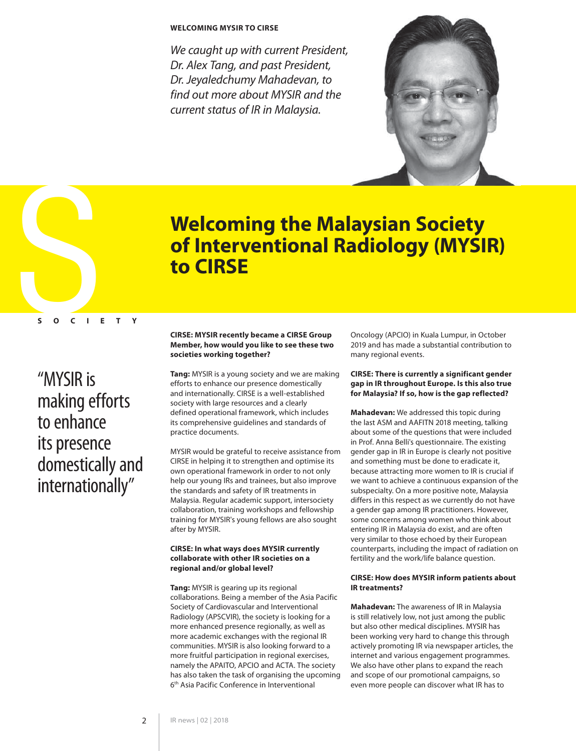# **WELCOMING MYSIR TO CIRSE**

We caught up with current President, Dr. Alex Tang, and past President, Dr. Jeyaledchumy Mahadevan, to find out more about MYSIR and the current status of IR in Malaysia.



<span id="page-0-0"></span>

# **Welcoming the Malaysian Society of Interventional Radiology (MYSIR) to CIRSE**

# "MYSIR is making efforts to enhance its presence domestically and internationally"

## **CIRSE: MYSIR recently became a CIRSE Group Member, how would you like to see these two societies working together?**

**Tang:** MYSIR is a young society and we are making efforts to enhance our presence domestically and internationally. CIRSE is a well-established society with large resources and a clearly defined operational framework, which includes its comprehensive guidelines and standards of practice documents.

MYSIR would be grateful to receive assistance from CIRSE in helping it to strengthen and optimise its own operational framework in order to not only help our young IRs and trainees, but also improve the standards and safety of IR treatments in Malaysia. Regular academic support, intersociety collaboration, training workshops and fellowship training for MYSIR's young fellows are also sought after by MYSIR.

#### **CIRSE: In what ways does MYSIR currently collaborate with other IR societies on a regional and/or global level?**

**Tang:** MYSIR is gearing up its regional collaborations. Being a member of the Asia Pacific Society of Cardiovascular and Interventional Radiology (APSCVIR), the society is looking for a more enhanced presence regionally, as well as more academic exchanges with the regional IR communities. MYSIR is also looking forward to a more fruitful participation in regional exercises, namely the APAITO, APCIO and ACTA. The society has also taken the task of organising the upcoming 6th Asia Pacific Conference in Interventional

Oncology (APCIO) in Kuala Lumpur, in October 2019 and has made a substantial contribution to many regional events.

# **CIRSE: There is currently a significant gender gap in IR throughout Europe. Is this also true for Malaysia? If so, how is the gap reflected?**

**Mahadevan:** We addressed this topic during the last ASM and AAFITN 2018 meeting, talking about some of the questions that were included in Prof. Anna Belli's questionnaire. The existing gender gap in IR in Europe is clearly not positive and something must be done to eradicate it, because attracting more women to IR is crucial if we want to achieve a continuous expansion of the subspecialty. On a more positive note, Malaysia differs in this respect as we currently do not have a gender gap among IR practitioners. However, some concerns among women who think about entering IR in Malaysia do exist, and are often very similar to those echoed by their European counterparts, including the impact of radiation on fertility and the work/life balance question.

## **CIRSE: How does MYSIR inform patients about IR treatments?**

**Mahadevan:** The awareness of IR in Malaysia is still relatively low, not just among the public but also other medical disciplines. MYSIR has been working very hard to change this through actively promoting IR via newspaper articles, the internet and various engagement programmes. We also have other plans to expand the reach and scope of our promotional campaigns, so even more people can discover what IR has to